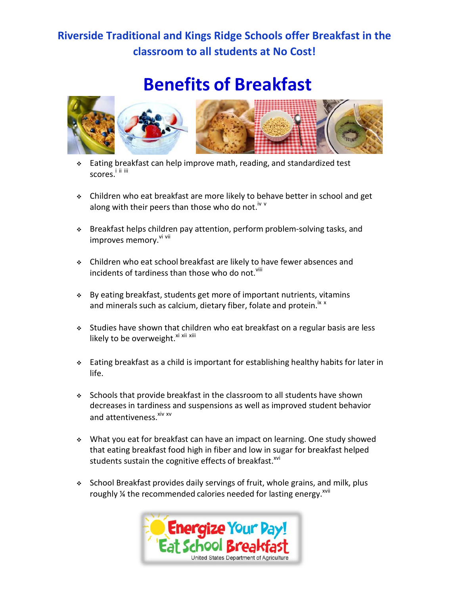## **Riverside Traditional and Kings Ridge Schools offer Breakfast in the classroom to all students at No Cost!**

## **Benefits of Breakfast**



- Eating breakfast can help improve math, reading, and standardized test scores.<sup>i ii iii</sup>
- Children who eat breakfast are more likely to behave better in school and get along with their peers than those who do not.<sup>iv v</sup>
- Breakfast helps children pay attention, perform problem-solving tasks, and improves memory. Vi vii
- Children who eat school breakfast are likely to have fewer absences and incidents of tardiness than those who do not.<sup>viii</sup>
- By eating breakfast, students get more of important nutrients, vitamins and minerals such as calcium, dietary fiber, folate and protein.<sup>ix x</sup>
- Studies have shown that children who eat breakfast on a regular basis are less likely to be overweight.<sup>xi xii xiii</sup>
- Eating breakfast as a child is important for establishing healthy habits for later in life.
- Schools that provide breakfast in the classroom to all students have shown decreases in tardiness and suspensions as well as improved student behavior and attentiveness.<sup>xiv xv</sup>
- What you eat for breakfast can have an impact on learning. One study showed that eating breakfast food high in fiber and low in sugar for breakfast helped students sustain the cognitive effects of breakfast.<sup>xvi</sup>
- \* School Breakfast provides daily servings of fruit, whole grains, and milk, plus roughly % the recommended calories needed for lasting energy. XVII